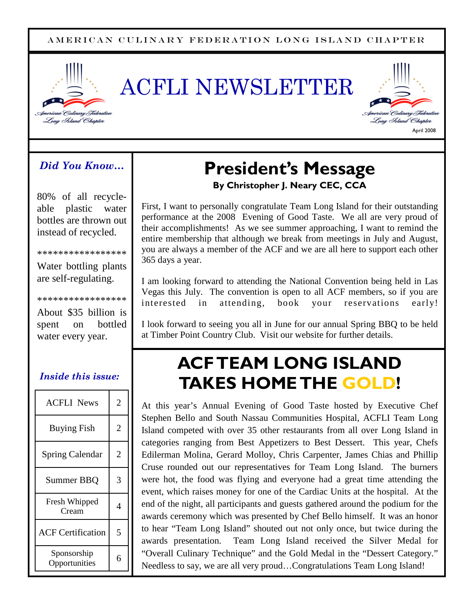#### A MERICAN CULINARY FEDERATION LONG ISLAND CHAPTER







### *Did You Know…*

80% of all recycleable plastic water bottles are thrown out instead of recycled.

\*\*\*\*\*\*\*\*\*\*\*\*\*\*\*\*\*

Water bottling plants are self-regulating.

\*\*\*\*\*\*\*\*\*\*\*\*\*\*\*\*\* About \$35 billion is spent on bottled water every year.

### *Inside this issue:*

| <b>ACFLI News</b>            | 2 |
|------------------------------|---|
| <b>Buying Fish</b>           | 2 |
| <b>Spring Calendar</b>       | 2 |
| Summer BBQ                   | 3 |
| Fresh Whipped<br>Cream       | 4 |
| <b>ACF Certification</b>     | 5 |
| Sponsorship<br>Opportunities |   |

## **President's Message By Christopher J. Neary CEC, CCA**

First, I want to personally congratulate Team Long Island for their outstanding performance at the 2008 Evening of Good Taste. We all are very proud of their accomplishments! As we see summer approaching, I want to remind the entire membership that although we break from meetings in July and August, you are always a member of the ACF and we are all here to support each other 365 days a year.

I am looking forward to attending the National Convention being held in Las Vegas this July. The convention is open to all ACF members, so if you are interested in attending, book your reservations early!

I look forward to seeing you all in June for our annual Spring BBQ to be held at Timber Point Country Club. Visit our website for further details.

## **ACFTEAM LONG ISLAND TAKES HOMETHE GOLD!**

At this year's Annual Evening of Good Taste hosted by Executive Chef Stephen Bello and South Nassau Communities Hospital, ACFLI Team Long Island competed with over 35 other restaurants from all over Long Island in categories ranging from Best Appetizers to Best Dessert. This year, Chefs Edilerman Molina, Gerard Molloy, Chris Carpenter, James Chias and Phillip Cruse rounded out our representatives for Team Long Island. The burners were hot, the food was flying and everyone had a great time attending the event, which raises money for one of the Cardiac Units at the hospital. At the end of the night, all participants and guests gathered around the podium for the awards ceremony which was presented by Chef Bello himself. It was an honor to hear "Team Long Island" shouted out not only once, but twice during the awards presentation. Team Long Island received the Silver Medal for "Overall Culinary Technique" and the Gold Medal in the "Dessert Category." Needless to say, we are all very proud…Congratulations Team Long Island!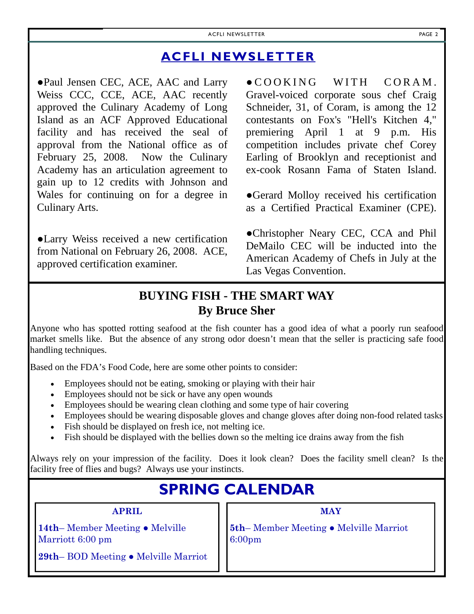## **ACFLI NEWSLETTER**

●Paul Jensen CEC, ACE, AAC and Larry Weiss CCC, CCE, ACE, AAC recently approved the Culinary Academy of Long Island as an ACF Approved Educational facility and has received the seal of approval from the National office as of February 25, 2008. Now the Culinary Academy has an articulation agreement to gain up to 12 credits with Johnson and Wales for continuing on for a degree in Culinary Arts.

●Larry Weiss received a new certification from National on February 26, 2008. ACE, approved certification examiner.

 $\bullet$  COOKING WITH CORAM. Gravel-voiced corporate sous chef Craig Schneider, 31, of Coram, is among the 12 contestants on Fox's "Hell's Kitchen 4," premiering April 1 at 9 p.m. His competition includes private chef Corey Earling of Brooklyn and receptionist and ex-cook Rosann Fama of Staten Island.

●Gerard Molloy received his certification as a Certified Practical Examiner (CPE).

●Christopher Neary CEC, CCA and Phil DeMailo CEC will be inducted into the American Academy of Chefs in July at the Las Vegas Convention.

## **BUYING FISH - THE SMART WAY By Bruce Sher**

Anyone who has spotted rotting seafood at the fish counter has a good idea of what a poorly run seafood market smells like. But the absence of any strong odor doesn't mean that the seller is practicing safe food handling techniques.

Based on the FDA's Food Code, here are some other points to consider:

- Employees should not be eating, smoking or playing with their hair
- Employees should not be sick or have any open wounds
- Employees should be wearing clean clothing and some type of hair covering
- Employees should be wearing disposable gloves and change gloves after doing non-food related tasks
- Fish should be displayed on fresh ice, not melting ice.
- Fish should be displayed with the bellies down so the melting ice drains away from the fish

Always rely on your impression of the facility. Does it look clean? Does the facility smell clean? Is the facility free of flies and bugs? Always use your instincts.

## **SPRING CALENDAR**

**APRIL**

**14th**– Member Meeting ● Melville Marriott 6:00 pm

**MAY**

**5th**– Member Meeting ● Melville Marriot 6:00pm

**29th**– BOD Meeting ● Melville Marriot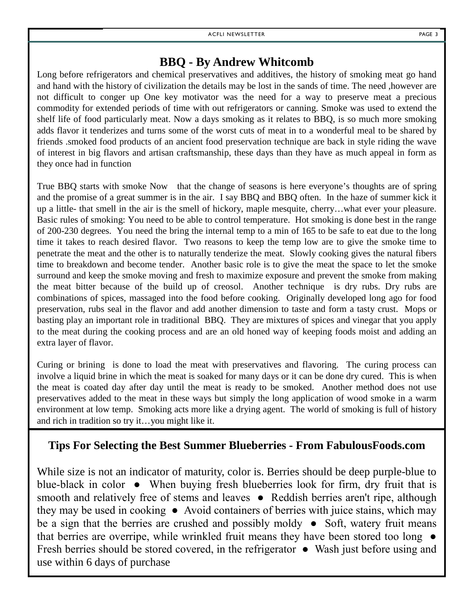## **BBQ - By Andrew Whitcomb**

Long before refrigerators and chemical preservatives and additives, the history of smoking meat go hand and hand with the history of civilization the details may be lost in the sands of time. The need ,however are not difficult to conger up One key motivator was the need for a way to preserve meat a precious commodity for extended periods of time with out refrigerators or canning. Smoke was used to extend the shelf life of food particularly meat. Now a days smoking as it relates to BBQ, is so much more smoking adds flavor it tenderizes and turns some of the worst cuts of meat in to a wonderful meal to be shared by friends .smoked food products of an ancient food preservation technique are back in style riding the wave of interest in big flavors and artisan craftsmanship, these days than they have as much appeal in form as they once had in function

True BBQ starts with smoke Now that the change of seasons is here everyone's thoughts are of spring and the promise of a great summer is in the air. I say BBQ and BBQ often. In the haze of summer kick it up a little- that smell in the air is the smell of hickory, maple mesquite, cherry…what ever your pleasure. Basic rules of smoking: You need to be able to control temperature. Hot smoking is done best in the range of 200-230 degrees. You need the bring the internal temp to a min of 165 to be safe to eat due to the long time it takes to reach desired flavor. Two reasons to keep the temp low are to give the smoke time to penetrate the meat and the other is to naturally tenderize the meat. Slowly cooking gives the natural fibers time to breakdown and become tender. Another basic role is to give the meat the space to let the smoke surround and keep the smoke moving and fresh to maximize exposure and prevent the smoke from making the meat bitter because of the build up of creosol. Another technique is dry rubs. Dry rubs are combinations of spices, massaged into the food before cooking. Originally developed long ago for food preservation, rubs seal in the flavor and add another dimension to taste and form a tasty crust. Mops or basting play an important role in traditional BBQ. They are mixtures of spices and vinegar that you apply to the meat during the cooking process and are an old honed way of keeping foods moist and adding an extra layer of flavor.

Curing or brining is done to load the meat with preservatives and flavoring. The curing process can involve a liquid brine in which the meat is soaked for many days or it can be done dry cured. This is when the meat is coated day after day until the meat is ready to be smoked. Another method does not use preservatives added to the meat in these ways but simply the long application of wood smoke in a warm environment at low temp. Smoking acts more like a drying agent. The world of smoking is full of history and rich in tradition so try it…you might like it.

### **Tips For Selecting the Best Summer Blueberries - From FabulousFoods.com**

While size is not an indicator of maturity, color is. Berries should be deep purple-blue to blue-black in color ● When buying fresh blueberries look for firm, dry fruit that is smooth and relatively free of stems and leaves • Reddish berries aren't ripe, although they may be used in cooking ● Avoid containers of berries with juice stains, which may be a sign that the berries are crushed and possibly moldy ● Soft, watery fruit means that berries are overripe, while wrinkled fruit means they have been stored too long ● Fresh berries should be stored covered, in the refrigerator ● Wash just before using and use within 6 days of purchase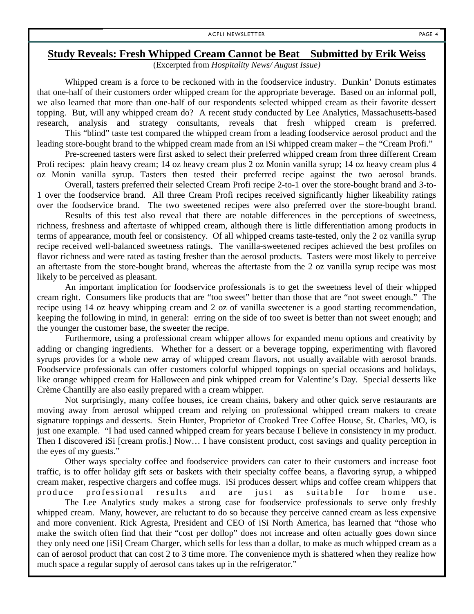#### **Study Reveals: Fresh Whipped Cream Cannot be Beat Submitted by Erik Weiss**

(Excerpted from *Hospitality News/ August Issue)*

Whipped cream is a force to be reckoned with in the foodservice industry. Dunkin' Donuts estimates that one-half of their customers order whipped cream for the appropriate beverage. Based on an informal poll, we also learned that more than one-half of our respondents selected whipped cream as their favorite dessert topping. But, will any whipped cream do? A recent study conducted by Lee Analytics, Massachusetts-based research, analysis and strategy consultants, reveals that fresh whipped cream is preferred.

This "blind" taste test compared the whipped cream from a leading foodservice aerosol product and the leading store-bought brand to the whipped cream made from an iSi whipped cream maker – the "Cream Profi."

Pre-screened tasters were first asked to select their preferred whipped cream from three different Cream Profi recipes: plain heavy cream; 14 oz heavy cream plus 2 oz Monin vanilla syrup; 14 oz heavy cream plus 4 oz Monin vanilla syrup. Tasters then tested their preferred recipe against the two aerosol brands.

Overall, tasters preferred their selected Cream Profi recipe 2-to-1 over the store-bought brand and 3-to-1 over the foodservice brand. All three Cream Profi recipes received significantly higher likeability ratings over the foodservice brand. The two sweetened recipes were also preferred over the store-bought brand.

Results of this test also reveal that there are notable differences in the perceptions of sweetness, richness, freshness and aftertaste of whipped cream, although there is little differentiation among products in terms of appearance, mouth feel or consistency. Of all whipped creams taste-tested, only the 2 oz vanilla syrup recipe received well-balanced sweetness ratings. The vanilla-sweetened recipes achieved the best profiles on flavor richness and were rated as tasting fresher than the aerosol products. Tasters were most likely to perceive an aftertaste from the store-bought brand, whereas the aftertaste from the 2 oz vanilla syrup recipe was most likely to be perceived as pleasant.

An important implication for foodservice professionals is to get the sweetness level of their whipped cream right. Consumers like products that are "too sweet" better than those that are "not sweet enough." The recipe using 14 oz heavy whipping cream and 2 oz of vanilla sweetener is a good starting recommendation, keeping the following in mind, in general: erring on the side of too sweet is better than not sweet enough; and the younger the customer base, the sweeter the recipe.

Furthermore, using a professional cream whipper allows for expanded menu options and creativity by adding or changing ingredients. Whether for a dessert or a beverage topping, experimenting with flavored syrups provides for a whole new array of whipped cream flavors, not usually available with aerosol brands. Foodservice professionals can offer customers colorful whipped toppings on special occasions and holidays, like orange whipped cream for Halloween and pink whipped cream for Valentine's Day. Special desserts like Crème Chantilly are also easily prepared with a cream whipper.

Not surprisingly, many coffee houses, ice cream chains, bakery and other quick serve restaurants are moving away from aerosol whipped cream and relying on professional whipped cream makers to create signature toppings and desserts. Stein Hunter, Proprietor of Crooked Tree Coffee House, St. Charles, MO, is just one example. "I had used canned whipped cream for years because I believe in consistency in my product. Then I discovered iSi [cream profis.] Now… I have consistent product, cost savings and quality perception in the eyes of my guests."

Other ways specialty coffee and foodservice providers can cater to their customers and increase foot traffic, is to offer holiday gift sets or baskets with their specialty coffee beans, a flavoring syrup, a whipped cream maker, respective chargers and coffee mugs. iSi produces dessert whips and coffee cream whippers that produce professional results and are just as suitable for home use.

The Lee Analytics study makes a strong case for foodservice professionals to serve only freshly whipped cream. Many, however, are reluctant to do so because they perceive canned cream as less expensive and more convenient. Rick Agresta, President and CEO of iSi North America, has learned that "those who make the switch often find that their "cost per dollop" does not increase and often actually goes down since they only need one [iSi] Cream Charger, which sells for less than a dollar, to make as much whipped cream as a can of aerosol product that can cost 2 to 3 time more. The convenience myth is shattered when they realize how much space a regular supply of aerosol cans takes up in the refrigerator."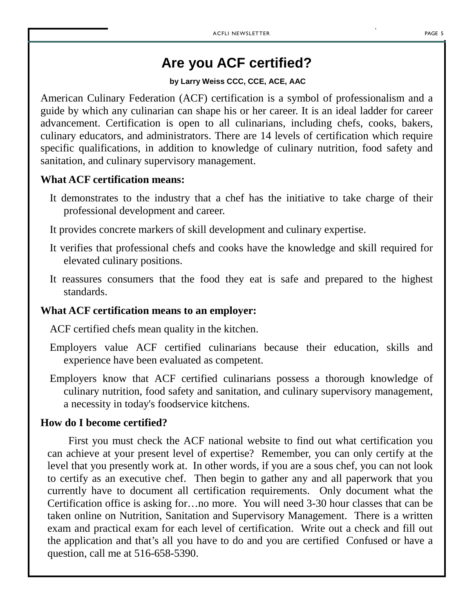## **Are you ACF certified?**

#### **by Larry Weiss CCC, CCE, ACE, AAC**

American Culinary Federation (ACF) certification is a symbol of professionalism and a guide by which any culinarian can shape his or her career. It is an ideal ladder for career advancement. Certification is open to all culinarians, including chefs, cooks, bakers, culinary educators, and administrators. There are 14 levels of certification which require specific qualifications, in addition to knowledge of culinary nutrition, food safety and sanitation, and culinary supervisory management.

### **What ACF certification means:**

It demonstrates to the industry that a chef has the initiative to take charge of their professional development and career.

It provides concrete markers of skill development and culinary expertise.

- It verifies that professional chefs and cooks have the knowledge and skill required for elevated culinary positions.
- It reassures consumers that the food they eat is safe and prepared to the highest standards.

### **What ACF certification means to an employer:**

ACF certified chefs mean quality in the kitchen.

- Employers value ACF certified culinarians because their education, skills and experience have been evaluated as competent.
- Employers know that ACF certified culinarians possess a thorough knowledge of culinary nutrition, food safety and sanitation, and culinary supervisory management, a necessity in today's foodservice kitchens.

### **How do I become certified?**

First you must check the ACF national website to find out what certification you can achieve at your present level of expertise? Remember, you can only certify at the level that you presently work at. In other words, if you are a sous chef, you can not look to certify as an executive chef. Then begin to gather any and all paperwork that you currently have to document all certification requirements. Only document what the Certification office is asking for…no more. You will need 3-30 hour classes that can be taken online on Nutrition, Sanitation and Supervisory Management. There is a written exam and practical exam for each level of certification. Write out a check and fill out the application and that's all you have to do and you are certified Confused or have a question, call me at 516-658-5390.